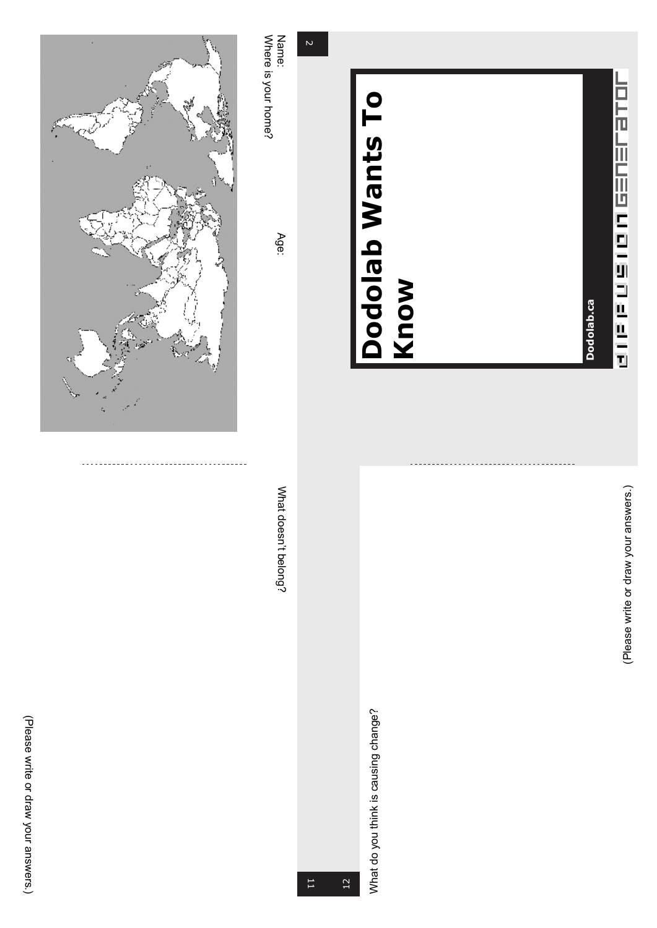



## Dodolab.ca **Dodolab.ca**

## **Dodolab Wants To Dodolab Wants To<br>Know**

## (Please write or draw your answers.

)

What do you think is causing change? What do you think is causing change?

 $\overline{v}$ 

Name: Where is your home?

Age:

≲ hat doesn't belong?

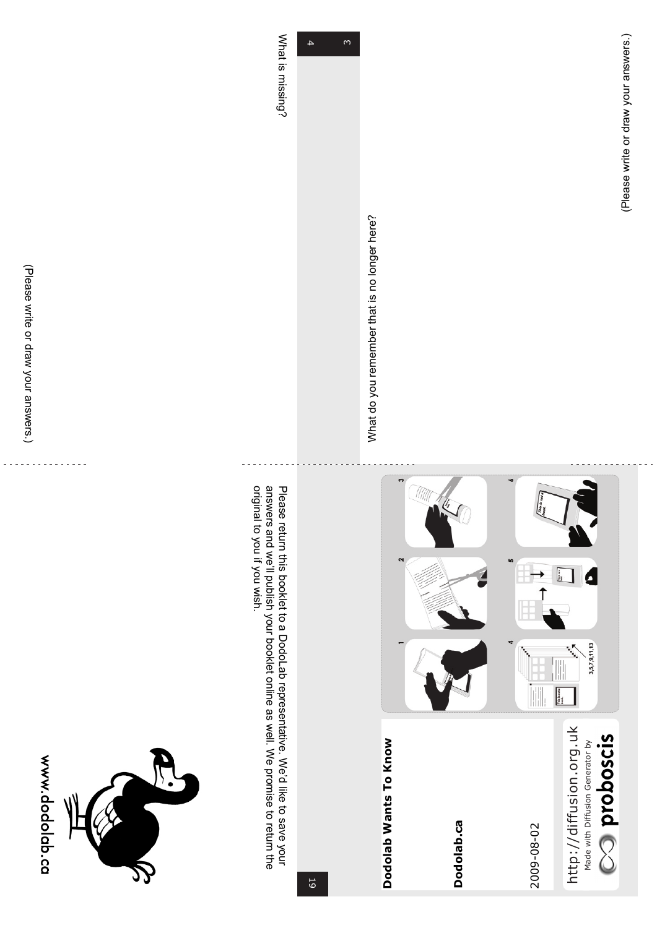



 $\overline{4}$  $\frac{1}{4}$ m

≲ hat is missing?



Please return this booklet to a DodoLab representative. We'd like<br>K to save your answers and we<br>W publish your booklet online as well. ≶<br>® promise ಕ return<br>E ነ<br>የ original ಕ you if you wist.

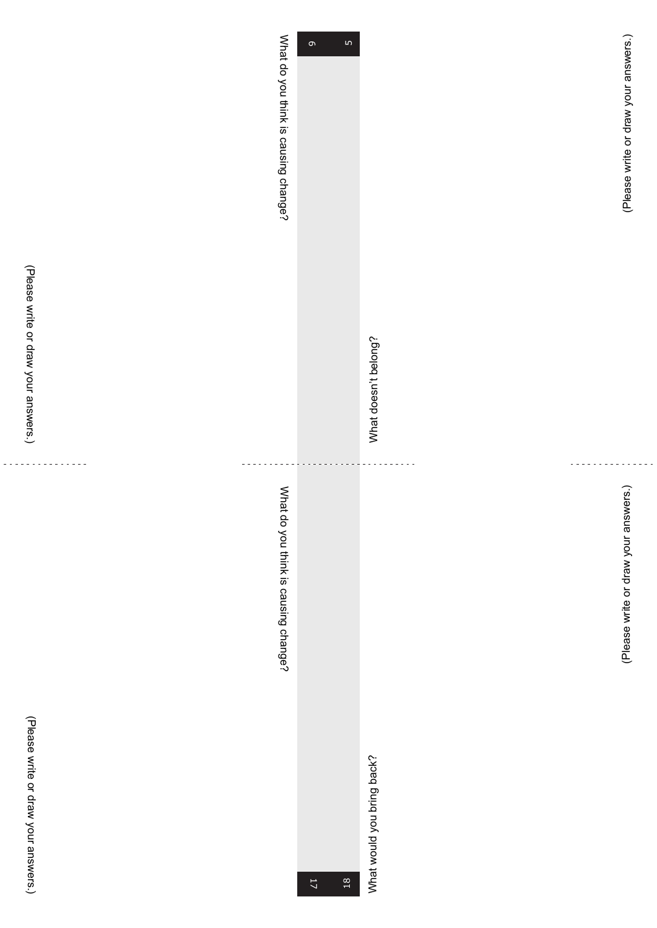| ś<br>؛                        |
|-------------------------------|
| -<br>?                        |
| $\overline{\phantom{a}}$<br>1 |
| i                             |
| î                             |
| s<br>S                        |
|                               |

(Please ≫rite or draw your answers.)

> $\mathbb{R}^2$  $\overline{a}$

 $\omega$  is a constant

| What do you think is causing change? | $\mathsf{L}\Omega$<br>$\sigma$ | What doesn't belong?<br>÷  | (Please write or draw your answers.) |
|--------------------------------------|--------------------------------|----------------------------|--------------------------------------|
| What do you think is causing change? | $\mathbb{I}^7$<br>$^{18}$      | What would you bring back? | (Please write or draw your answers.) |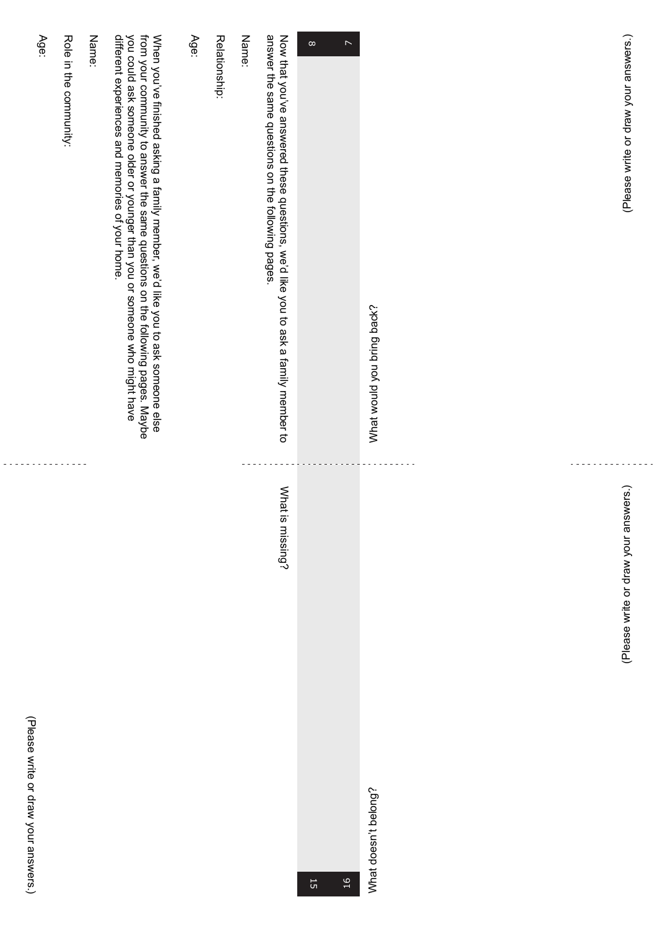| (Please write or draw your answers.)                                                                                                                                                                                                                                                              | (Please write or draw your answers.)   |
|---------------------------------------------------------------------------------------------------------------------------------------------------------------------------------------------------------------------------------------------------------------------------------------------------|----------------------------------------|
|                                                                                                                                                                                                                                                                                                   |                                        |
|                                                                                                                                                                                                                                                                                                   |                                        |
| $\triangleright$                                                                                                                                                                                                                                                                                  | What doesn't belong?<br>$\frac{16}{1}$ |
| Now that you've answered these questions, we'd like you to ask a family member to<br>answer the same questions on the following pages.                                                                                                                                                            | What<br>is missing?                    |
| Name:                                                                                                                                                                                                                                                                                             |                                        |
| Relationship:                                                                                                                                                                                                                                                                                     |                                        |
| Age:                                                                                                                                                                                                                                                                                              |                                        |
| different experiences and memories of your home.<br>you could ask someone older or younger than you or someone who might have<br>from your community to answer the same questions on the following pages. Maybe<br>When you've finished asking a family member, we'd like you to ask someone else |                                        |
| Name:                                                                                                                                                                                                                                                                                             |                                        |
| Role in the community:                                                                                                                                                                                                                                                                            |                                        |
| Age:                                                                                                                                                                                                                                                                                              |                                        |

(Please

 $\overline{a}$ 

×rite or draw

your

answers.)